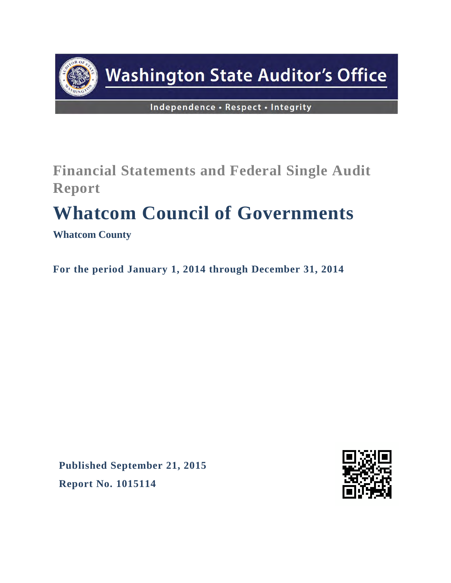

Independence · Respect · Integrity

# **Financial Statements and Federal Single Audit Report**

# **Whatcom Council of Governments**

**Whatcom County**

**For the period January 1, 2014 through December 31, 2014**

**Published September 21, 2015 Report No. 1015114**

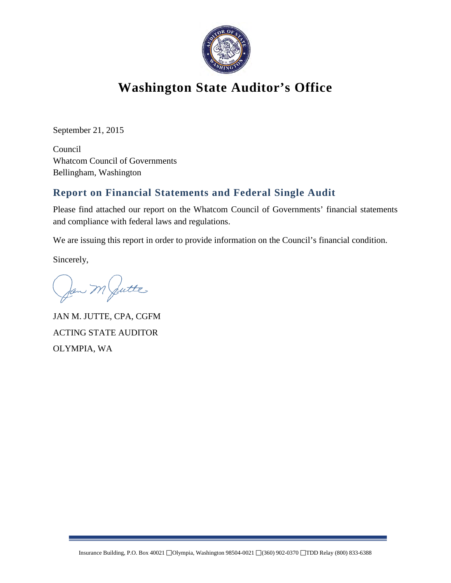

# **Washington State Auditor's Office**

September 21, 2015

Council Whatcom Council of Governments Bellingham, Washington

### **Report on Financial Statements and Federal Single Audit**

Please find attached our report on the Whatcom Council of Governments' financial statements and compliance with federal laws and regulations.

We are issuing this report in order to provide information on the Council's financial condition.

Sincerely,

Jan M Jutte

JAN M. JUTTE, CPA, CGFM ACTING STATE AUDITOR OLYMPIA, WA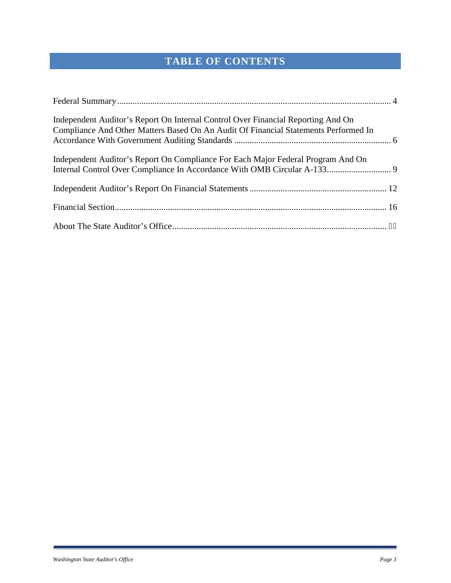## **TABLE OF CONTENTS**

| Independent Auditor's Report On Internal Control Over Financial Reporting And On<br>Compliance And Other Matters Based On An Audit Of Financial Statements Performed In |  |
|-------------------------------------------------------------------------------------------------------------------------------------------------------------------------|--|
| Independent Auditor's Report On Compliance For Each Major Federal Program And On                                                                                        |  |
|                                                                                                                                                                         |  |
|                                                                                                                                                                         |  |
|                                                                                                                                                                         |  |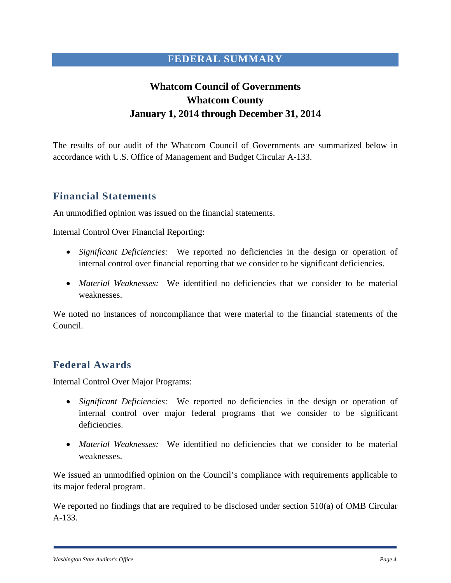### **FEDERAL SUMMARY**

### <span id="page-3-0"></span>**Whatcom Council of Governments Whatcom County January 1, 2014 through December 31, 2014**

The results of our audit of the Whatcom Council of Governments are summarized below in accordance with U.S. Office of Management and Budget Circular A-133.

### **Financial Statements**

An unmodified opinion was issued on the financial statements.

Internal Control Over Financial Reporting:

- *Significant Deficiencies:* We reported no deficiencies in the design or operation of internal control over financial reporting that we consider to be significant deficiencies.
- *Material Weaknesses:* We identified no deficiencies that we consider to be material weaknesses.

We noted no instances of noncompliance that were material to the financial statements of the Council.

### **Federal Awards**

Internal Control Over Major Programs:

- *Significant Deficiencies:* We reported no deficiencies in the design or operation of internal control over major federal programs that we consider to be significant deficiencies.
- *Material Weaknesses:* We identified no deficiencies that we consider to be material weaknesses.

We issued an unmodified opinion on the Council's compliance with requirements applicable to its major federal program.

We reported no findings that are required to be disclosed under section 510(a) of OMB Circular A-133.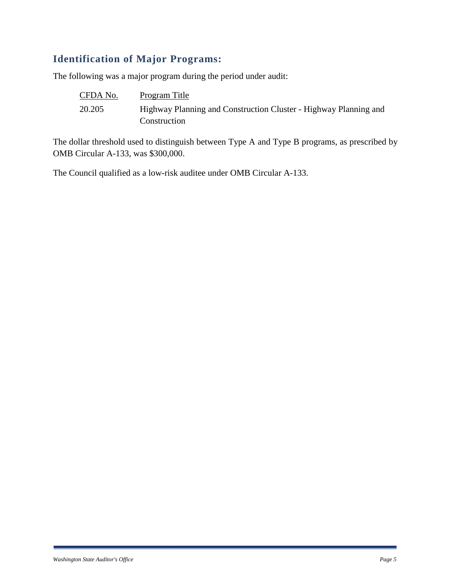### **Identification of Major Programs:**

The following was a major program during the period under audit:

| CFDA No. | Program Title                                                    |
|----------|------------------------------------------------------------------|
| 20.205   | Highway Planning and Construction Cluster - Highway Planning and |
|          | Construction                                                     |

The dollar threshold used to distinguish between Type A and Type B programs, as prescribed by OMB Circular A-133, was \$300,000.

*\_\_\_\_\_\_\_\_\_\_\_\_\_\_\_\_\_\_\_\_\_\_\_\_\_\_\_\_\_\_\_\_\_\_\_\_\_\_\_\_\_\_\_\_\_\_\_\_\_\_\_\_\_\_\_\_\_\_\_\_\_\_\_\_\_\_\_\_\_\_\_\_\_\_\_\_\_\_\_\_\_\_\_\_\_\_\_\_\_\_\_\_\_\_\_\_\_\_\_\_\_\_\_\_\_\_\_\_\_\_\_\_\_\_\_\_* 

The Council qualified as a low-risk auditee under OMB Circular A-133.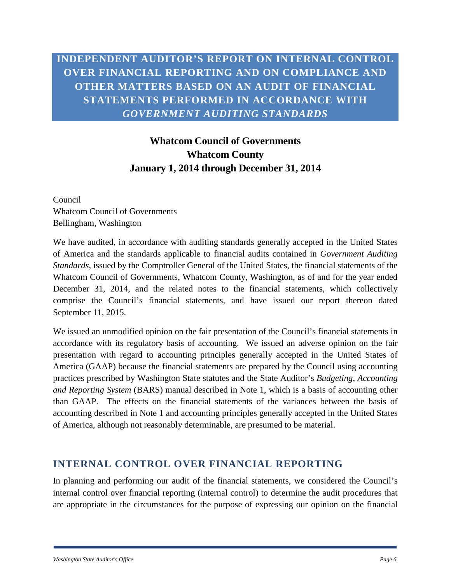### <span id="page-5-0"></span>**INDEPENDENT AUDITOR'S REPORT ON INTERNAL CONTROL OVER FINANCIAL REPORTING AND ON COMPLIANCE AND OTHER MATTERS BASED ON AN AUDIT OF FINANCIAL STATEMENTS PERFORMED IN ACCORDANCE WITH**  *GOVERNMENT AUDITING STANDARDS*

### **Whatcom Council of Governments Whatcom County January 1, 2014 through December 31, 2014**

Council Whatcom Council of Governments Bellingham, Washington

We have audited, in accordance with auditing standards generally accepted in the United States of America and the standards applicable to financial audits contained in *Government Auditing Standards*, issued by the Comptroller General of the United States, the financial statements of the Whatcom Council of Governments, Whatcom County, Washington, as of and for the year ended December 31, 2014, and the related notes to the financial statements, which collectively comprise the Council's financial statements, and have issued our report thereon dated September 11, 2015.

We issued an unmodified opinion on the fair presentation of the Council's financial statements in accordance with its regulatory basis of accounting. We issued an adverse opinion on the fair presentation with regard to accounting principles generally accepted in the United States of America (GAAP) because the financial statements are prepared by the Council using accounting practices prescribed by Washington State statutes and the State Auditor's *Budgeting, Accounting and Reporting System* (BARS) manual described in Note 1, which is a basis of accounting other than GAAP. The effects on the financial statements of the variances between the basis of accounting described in Note 1 and accounting principles generally accepted in the United States of America, although not reasonably determinable, are presumed to be material.

### **INTERNAL CONTROL OVER FINANCIAL REPORTING**

In planning and performing our audit of the financial statements, we considered the Council's internal control over financial reporting (internal control) to determine the audit procedures that are appropriate in the circumstances for the purpose of expressing our opinion on the financial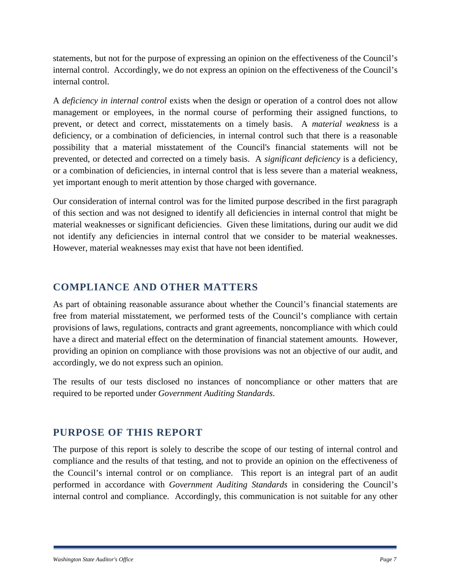statements, but not for the purpose of expressing an opinion on the effectiveness of the Council's internal control. Accordingly, we do not express an opinion on the effectiveness of the Council's internal control.

A *deficiency in internal control* exists when the design or operation of a control does not allow management or employees, in the normal course of performing their assigned functions, to prevent, or detect and correct, misstatements on a timely basis. A *material weakness* is a deficiency, or a combination of deficiencies, in internal control such that there is a reasonable possibility that a material misstatement of the Council's financial statements will not be prevented, or detected and corrected on a timely basis. A *significant deficiency* is a deficiency, or a combination of deficiencies, in internal control that is less severe than a material weakness, yet important enough to merit attention by those charged with governance.

Our consideration of internal control was for the limited purpose described in the first paragraph of this section and was not designed to identify all deficiencies in internal control that might be material weaknesses or significant deficiencies. Given these limitations, during our audit we did not identify any deficiencies in internal control that we consider to be material weaknesses. However, material weaknesses may exist that have not been identified.

### **COMPLIANCE AND OTHER MATTERS**

As part of obtaining reasonable assurance about whether the Council's financial statements are free from material misstatement, we performed tests of the Council's compliance with certain provisions of laws, regulations, contracts and grant agreements, noncompliance with which could have a direct and material effect on the determination of financial statement amounts. However, providing an opinion on compliance with those provisions was not an objective of our audit, and accordingly, we do not express such an opinion.

The results of our tests disclosed no instances of noncompliance or other matters that are required to be reported under *Government Auditing Standards*.

### **PURPOSE OF THIS REPORT**

The purpose of this report is solely to describe the scope of our testing of internal control and compliance and the results of that testing, and not to provide an opinion on the effectiveness of the Council's internal control or on compliance. This report is an integral part of an audit performed in accordance with *Government Auditing Standards* in considering the Council's internal control and compliance. Accordingly, this communication is not suitable for any other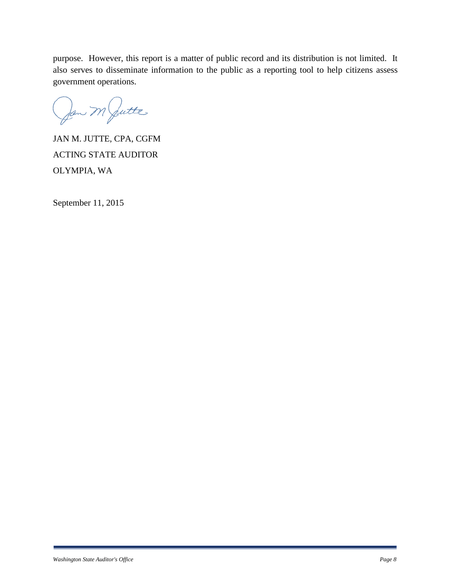purpose. However, this report is a matter of public record and its distribution is not limited. It also serves to disseminate information to the public as a reporting tool to help citizens assess government operations.

*\_\_\_\_\_\_\_\_\_\_\_\_\_\_\_\_\_\_\_\_\_\_\_\_\_\_\_\_\_\_\_\_\_\_\_\_\_\_\_\_\_\_\_\_\_\_\_\_\_\_\_\_\_\_\_\_\_\_\_\_\_\_\_\_\_\_\_\_\_\_\_\_\_\_\_\_\_\_\_\_\_\_\_\_\_\_\_\_\_\_\_\_\_\_\_\_\_\_\_\_\_\_\_\_\_\_\_\_\_\_\_\_\_\_\_\_* 

Jan M Jutte

JAN M. JUTTE, CPA, CGFM ACTING STATE AUDITOR OLYMPIA, WA

September 11, 2015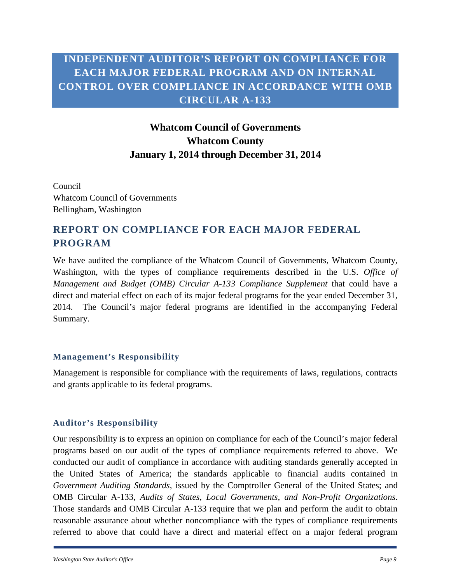### <span id="page-8-0"></span>**INDEPENDENT AUDITOR'S REPORT ON COMPLIANCE FOR EACH MAJOR FEDERAL PROGRAM AND ON INTERNAL CONTROL OVER COMPLIANCE IN ACCORDANCE WITH OMB CIRCULAR A-133**

### **Whatcom Council of Governments Whatcom County January 1, 2014 through December 31, 2014**

Council Whatcom Council of Governments Bellingham, Washington

### **REPORT ON COMPLIANCE FOR EACH MAJOR FEDERAL PROGRAM**

We have audited the compliance of the Whatcom Council of Governments, Whatcom County, Washington, with the types of compliance requirements described in the U.S. *Office of Management and Budget (OMB) Circular A-133 Compliance Supplement* that could have a direct and material effect on each of its major federal programs for the year ended December 31, 2014. The Council's major federal programs are identified in the accompanying Federal Summary.

### **Management's Responsibility**

Management is responsible for compliance with the requirements of laws, regulations, contracts and grants applicable to its federal programs.

### **Auditor's Responsibility**

Our responsibility is to express an opinion on compliance for each of the Council's major federal programs based on our audit of the types of compliance requirements referred to above. We conducted our audit of compliance in accordance with auditing standards generally accepted in the United States of America; the standards applicable to financial audits contained in *Government Auditing Standards*, issued by the Comptroller General of the United States; and OMB Circular A-133, *Audits of States, Local Governments, and Non-Profit Organizations*. Those standards and OMB Circular A-133 require that we plan and perform the audit to obtain reasonable assurance about whether noncompliance with the types of compliance requirements referred to above that could have a direct and material effect on a major federal program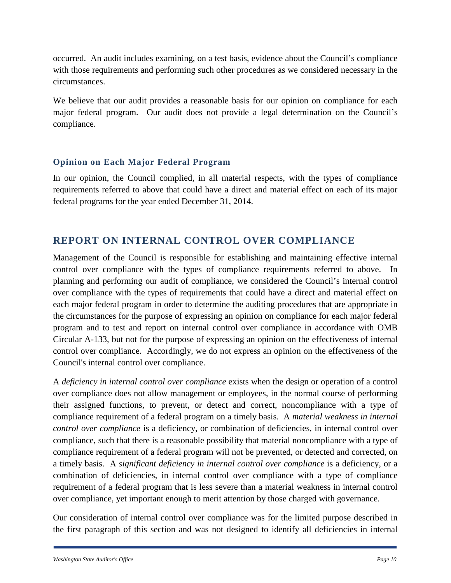occurred. An audit includes examining, on a test basis, evidence about the Council's compliance with those requirements and performing such other procedures as we considered necessary in the circumstances.

We believe that our audit provides a reasonable basis for our opinion on compliance for each major federal program. Our audit does not provide a legal determination on the Council's compliance.

### **Opinion on Each Major Federal Program**

In our opinion, the Council complied, in all material respects, with the types of compliance requirements referred to above that could have a direct and material effect on each of its major federal programs for the year ended December 31, 2014.

### **REPORT ON INTERNAL CONTROL OVER COMPLIANCE**

Management of the Council is responsible for establishing and maintaining effective internal control over compliance with the types of compliance requirements referred to above. In planning and performing our audit of compliance, we considered the Council's internal control over compliance with the types of requirements that could have a direct and material effect on each major federal program in order to determine the auditing procedures that are appropriate in the circumstances for the purpose of expressing an opinion on compliance for each major federal program and to test and report on internal control over compliance in accordance with OMB Circular A-133, but not for the purpose of expressing an opinion on the effectiveness of internal control over compliance. Accordingly, we do not express an opinion on the effectiveness of the Council's internal control over compliance.

A *deficiency in internal control over compliance* exists when the design or operation of a control over compliance does not allow management or employees, in the normal course of performing their assigned functions, to prevent, or detect and correct, noncompliance with a type of compliance requirement of a federal program on a timely basis. A *material weakness in internal control over compliance* is a deficiency, or combination of deficiencies, in internal control over compliance, such that there is a reasonable possibility that material noncompliance with a type of compliance requirement of a federal program will not be prevented, or detected and corrected, on a timely basis. A *significant deficiency in internal control over compliance* is a deficiency, or a combination of deficiencies, in internal control over compliance with a type of compliance requirement of a federal program that is less severe than a material weakness in internal control over compliance, yet important enough to merit attention by those charged with governance.

Our consideration of internal control over compliance was for the limited purpose described in the first paragraph of this section and was not designed to identify all deficiencies in internal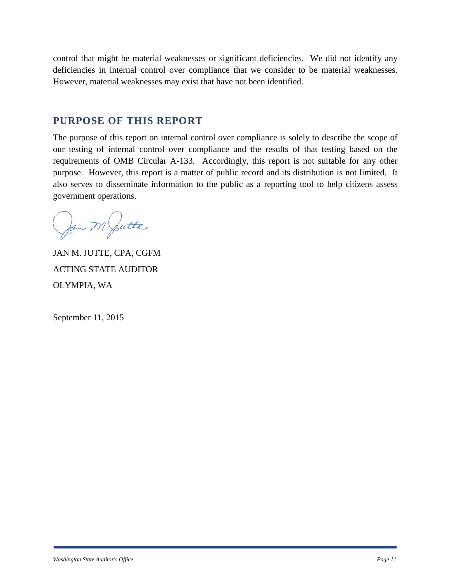control that might be material weaknesses or significant deficiencies. We did not identify any deficiencies in internal control over compliance that we consider to be material weaknesses. However, material weaknesses may exist that have not been identified.

### **PURPOSE OF THIS REPORT**

The purpose of this report on internal control over compliance is solely to describe the scope of our testing of internal control over compliance and the results of that testing based on the requirements of OMB Circular A-133. Accordingly, this report is not suitable for any other purpose. However, this report is a matter of public record and its distribution is not limited. It also serves to disseminate information to the public as a reporting tool to help citizens assess government operations.

*\_\_\_\_\_\_\_\_\_\_\_\_\_\_\_\_\_\_\_\_\_\_\_\_\_\_\_\_\_\_\_\_\_\_\_\_\_\_\_\_\_\_\_\_\_\_\_\_\_\_\_\_\_\_\_\_\_\_\_\_\_\_\_\_\_\_\_\_\_\_\_\_\_\_\_\_\_\_\_\_\_\_\_\_\_\_\_\_\_\_\_\_\_\_\_\_\_\_\_\_\_\_\_\_\_\_\_\_\_\_\_\_\_\_\_\_* 

Jan M Jutte

JAN M. JUTTE, CPA, CGFM ACTING STATE AUDITOR OLYMPIA, WA

September 11, 2015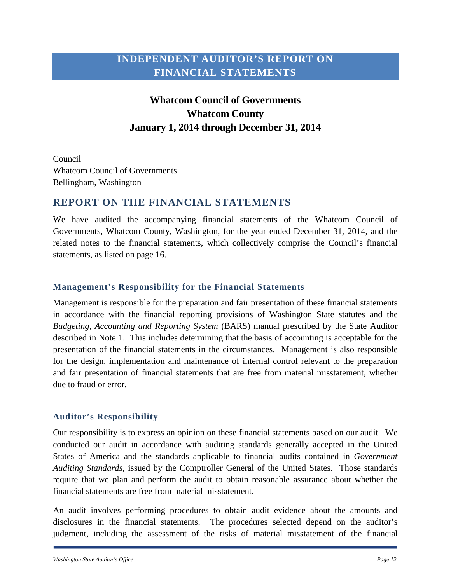### <span id="page-11-0"></span>**INDEPENDENT AUDITOR'S REPORT ON FINANCIAL STATEMENTS**

### **Whatcom Council of Governments Whatcom County January 1, 2014 through December 31, 2014**

Council Whatcom Council of Governments Bellingham, Washington

### **REPORT ON THE FINANCIAL STATEMENTS**

We have audited the accompanying financial statements of the Whatcom Council of Governments, Whatcom County, Washington, for the year ended December 31, 2014, and the related notes to the financial statements, which collectively comprise the Council's financial statements, as listed on page 16.

### **Management's Responsibility for the Financial Statements**

Management is responsible for the preparation and fair presentation of these financial statements in accordance with the financial reporting provisions of Washington State statutes and the *Budgeting, Accounting and Reporting System* (BARS) manual prescribed by the State Auditor described in Note 1. This includes determining that the basis of accounting is acceptable for the presentation of the financial statements in the circumstances. Management is also responsible for the design, implementation and maintenance of internal control relevant to the preparation and fair presentation of financial statements that are free from material misstatement, whether due to fraud or error.

### **Auditor's Responsibility**

Our responsibility is to express an opinion on these financial statements based on our audit. We conducted our audit in accordance with auditing standards generally accepted in the United States of America and the standards applicable to financial audits contained in *Government Auditing Standards*, issued by the Comptroller General of the United States. Those standards require that we plan and perform the audit to obtain reasonable assurance about whether the financial statements are free from material misstatement.

An audit involves performing procedures to obtain audit evidence about the amounts and disclosures in the financial statements. The procedures selected depend on the auditor's judgment, including the assessment of the risks of material misstatement of the financial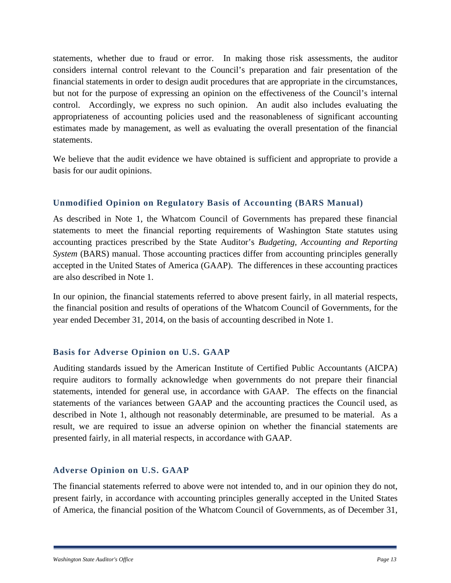statements, whether due to fraud or error. In making those risk assessments, the auditor considers internal control relevant to the Council's preparation and fair presentation of the financial statements in order to design audit procedures that are appropriate in the circumstances, but not for the purpose of expressing an opinion on the effectiveness of the Council's internal control. Accordingly, we express no such opinion. An audit also includes evaluating the appropriateness of accounting policies used and the reasonableness of significant accounting estimates made by management, as well as evaluating the overall presentation of the financial statements.

We believe that the audit evidence we have obtained is sufficient and appropriate to provide a basis for our audit opinions.

### **Unmodified Opinion on Regulatory Basis of Accounting (BARS Manual)**

As described in Note 1, the Whatcom Council of Governments has prepared these financial statements to meet the financial reporting requirements of Washington State statutes using accounting practices prescribed by the State Auditor's *Budgeting, Accounting and Reporting System* (BARS) manual. Those accounting practices differ from accounting principles generally accepted in the United States of America (GAAP). The differences in these accounting practices are also described in Note 1.

In our opinion, the financial statements referred to above present fairly, in all material respects, the financial position and results of operations of the Whatcom Council of Governments, for the year ended December 31, 2014, on the basis of accounting described in Note 1.

### **Basis for Adverse Opinion on U.S. GAAP**

Auditing standards issued by the American Institute of Certified Public Accountants (AICPA) require auditors to formally acknowledge when governments do not prepare their financial statements, intended for general use, in accordance with GAAP. The effects on the financial statements of the variances between GAAP and the accounting practices the Council used, as described in Note 1, although not reasonably determinable, are presumed to be material. As a result, we are required to issue an adverse opinion on whether the financial statements are presented fairly, in all material respects, in accordance with GAAP.

### **Adverse Opinion on U.S. GAAP**

The financial statements referred to above were not intended to, and in our opinion they do not, present fairly, in accordance with accounting principles generally accepted in the United States of America, the financial position of the Whatcom Council of Governments, as of December 31,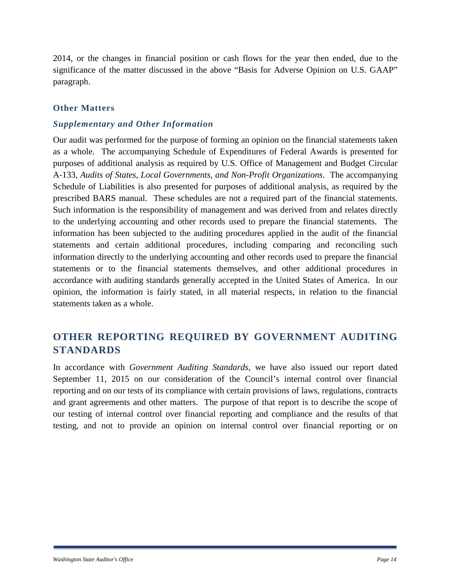2014, or the changes in financial position or cash flows for the year then ended, due to the significance of the matter discussed in the above "Basis for Adverse Opinion on U.S. GAAP" paragraph.

#### **Other Matters**

#### *Supplementary and Other Information*

Our audit was performed for the purpose of forming an opinion on the financial statements taken as a whole. The accompanying Schedule of Expenditures of Federal Awards is presented for purposes of additional analysis as required by U.S. Office of Management and Budget Circular A-133, *Audits of States, Local Governments, and Non-Profit Organizations*. The accompanying Schedule of Liabilities is also presented for purposes of additional analysis, as required by the prescribed BARS manual. These schedules are not a required part of the financial statements. Such information is the responsibility of management and was derived from and relates directly to the underlying accounting and other records used to prepare the financial statements. The information has been subjected to the auditing procedures applied in the audit of the financial statements and certain additional procedures, including comparing and reconciling such information directly to the underlying accounting and other records used to prepare the financial statements or to the financial statements themselves, and other additional procedures in accordance with auditing standards generally accepted in the United States of America. In our opinion, the information is fairly stated, in all material respects, in relation to the financial statements taken as a whole.

### **OTHER REPORTING REQUIRED BY GOVERNMENT AUDITING STANDARDS**

In accordance with *Government Auditing Standards*, we have also issued our report dated September 11, 2015 on our consideration of the Council's internal control over financial reporting and on our tests of its compliance with certain provisions of laws, regulations, contracts and grant agreements and other matters. The purpose of that report is to describe the scope of our testing of internal control over financial reporting and compliance and the results of that testing, and not to provide an opinion on internal control over financial reporting or on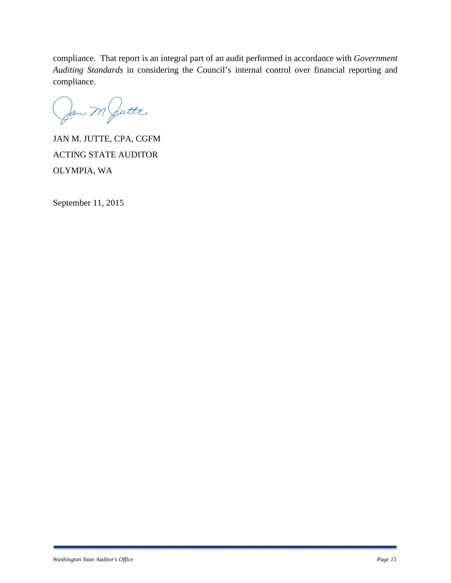compliance. That report is an integral part of an audit performed in accordance with *Government Auditing Standards* in considering the Council's internal control over financial reporting and compliance.

*\_\_\_\_\_\_\_\_\_\_\_\_\_\_\_\_\_\_\_\_\_\_\_\_\_\_\_\_\_\_\_\_\_\_\_\_\_\_\_\_\_\_\_\_\_\_\_\_\_\_\_\_\_\_\_\_\_\_\_\_\_\_\_\_\_\_\_\_\_\_\_\_\_\_\_\_\_\_\_\_\_\_\_\_\_\_\_\_\_\_\_\_\_\_\_\_\_\_\_\_\_\_\_\_\_\_\_\_\_\_\_\_\_\_\_\_* 

Jan M Jutte

JAN M. JUTTE, CPA, CGFM ACTING STATE AUDITOR OLYMPIA, WA

September 11, 2015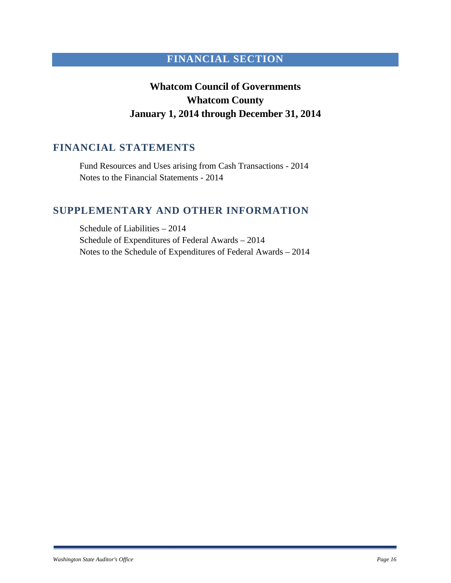### **FINANCIAL SECTION**

### <span id="page-15-0"></span>**Whatcom Council of Governments Whatcom County January 1, 2014 through December 31, 2014**

*\_\_\_\_\_\_\_\_\_\_\_\_\_\_\_\_\_\_\_\_\_\_\_\_\_\_\_\_\_\_\_\_\_\_\_\_\_\_\_\_\_\_\_\_\_\_\_\_\_\_\_\_\_\_\_\_\_\_\_\_\_\_\_\_\_\_\_\_\_\_\_\_\_\_\_\_\_\_\_\_\_\_\_\_\_\_\_\_\_\_\_\_\_\_\_\_\_\_\_\_\_\_\_\_\_\_\_\_\_\_\_\_\_\_\_\_* 

### **FINANCIAL STATEMENTS**

Fund Resources and Uses arising from Cash Transactions - 2014 Notes to the Financial Statements - 2014

### **SUPPLEMENTARY AND OTHER INFORMATION**

 Schedule of Liabilities – 2014 Schedule of Expenditures of Federal Awards – 2014 Notes to the Schedule of Expenditures of Federal Awards – 2014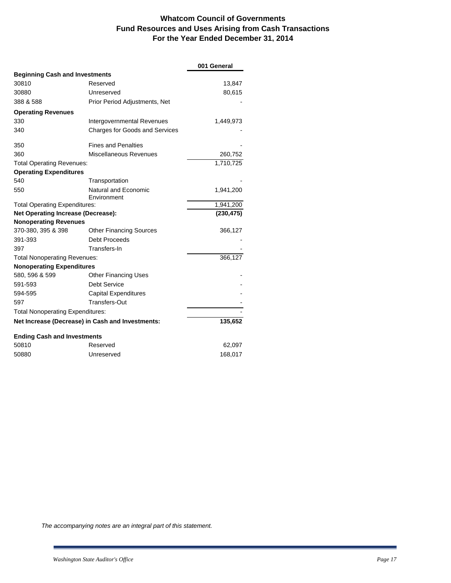#### **Whatcom Council of Governments Fund Resources and Uses Arising from Cash Transactions For the Year Ended December 31, 2014**

|                                           |                                                  | 001 General |
|-------------------------------------------|--------------------------------------------------|-------------|
| <b>Beginning Cash and Investments</b>     |                                                  |             |
| 30810                                     | Reserved                                         | 13,847      |
| 30880                                     | Unreserved                                       | 80,615      |
| 388 & 588                                 | Prior Period Adjustments, Net                    |             |
| <b>Operating Revenues</b>                 |                                                  |             |
| 330                                       | Intergovernmental Revenues                       | 1,449,973   |
| 340                                       | <b>Charges for Goods and Services</b>            |             |
| 350                                       | <b>Fines and Penalties</b>                       |             |
| 360                                       | Miscellaneous Revenues                           | 260,752     |
| <b>Total Operating Revenues:</b>          |                                                  | 1,710,725   |
| <b>Operating Expenditures</b>             |                                                  |             |
| 540                                       | Transportation                                   |             |
| 550                                       | Natural and Economic                             | 1,941,200   |
|                                           | Environment                                      |             |
| <b>Total Operating Expenditures:</b>      |                                                  | 1,941,200   |
| <b>Net Operating Increase (Decrease):</b> |                                                  | (230, 475)  |
| <b>Nonoperating Revenues</b>              |                                                  |             |
| 370-380, 395 & 398                        | <b>Other Financing Sources</b>                   | 366,127     |
| 391-393                                   | Debt Proceeds                                    |             |
| 397                                       | Transfers-In                                     |             |
| <b>Total Nonoperating Revenues:</b>       |                                                  | 366,127     |
| <b>Nonoperating Expenditures</b>          |                                                  |             |
| 580, 596 & 599                            | <b>Other Financing Uses</b>                      |             |
| 591-593                                   | <b>Debt Service</b>                              |             |
| 594-595<br><b>Capital Expenditures</b>    |                                                  |             |
| Transfers-Out<br>597                      |                                                  |             |
| <b>Total Nonoperating Expenditures:</b>   |                                                  |             |
|                                           | Net Increase (Decrease) in Cash and Investments: | 135,652     |
| <b>Ending Cash and Investments</b>        |                                                  |             |
| 50810                                     | Reserved                                         | 62,097      |
| 50880                                     | Unreserved                                       | 168,017     |

*The accompanying notes are an integral part of this statement.*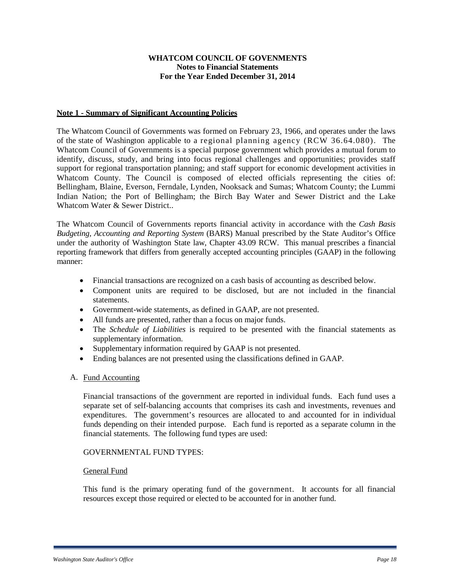#### **WHATCOM COUNCIL OF GOVENMENTS Notes to Financial Statements For the Year Ended December 31, 2014**

#### **Note 1 - Summary of Significant Accounting Policies**

The Whatcom Council of Governments was formed on February 23, 1966, and operates under the laws of the state of Washington applicable to a regional planning agency (RCW 36.64.080). The Whatcom Council of Governments is a special purpose government which provides a mutual forum to identify, discuss, study, and bring into focus regional challenges and opportunities; provides staff support for regional transportation planning; and staff support for economic development activities in Whatcom County. The Council is composed of elected officials representing the cities of: Bellingham, Blaine, Everson, Ferndale, Lynden, Nooksack and Sumas; Whatcom County; the Lummi Indian Nation; the Port of Bellingham; the Birch Bay Water and Sewer District and the Lake Whatcom Water & Sewer District..

The Whatcom Council of Governments reports financial activity in accordance with the *Cash Basis Budgeting, Accounting and Reporting System* (BARS) Manual prescribed by the State Auditor's Office under the authority of Washington State law, Chapter 43.09 RCW. This manual prescribes a financial reporting framework that differs from generally accepted accounting principles (GAAP) in the following manner:

- Financial transactions are recognized on a cash basis of accounting as described below.
- Component units are required to be disclosed, but are not included in the financial statements.
- Government-wide statements, as defined in GAAP, are not presented.
- All funds are presented, rather than a focus on major funds.
- The *Schedule of Liabilities* is required to be presented with the financial statements as supplementary information.
- Supplementary information required by GAAP is not presented.
- Ending balances are not presented using the classifications defined in GAAP.

#### A. Fund Accounting

Financial transactions of the government are reported in individual funds. Each fund uses a separate set of self-balancing accounts that comprises its cash and investments, revenues and expenditures. The government's resources are allocated to and accounted for in individual funds depending on their intended purpose. Each fund is reported as a separate column in the financial statements. The following fund types are used:

#### GOVERNMENTAL FUND TYPES:

#### General Fund

This fund is the primary operating fund of the government. It accounts for all financial resources except those required or elected to be accounted for in another fund.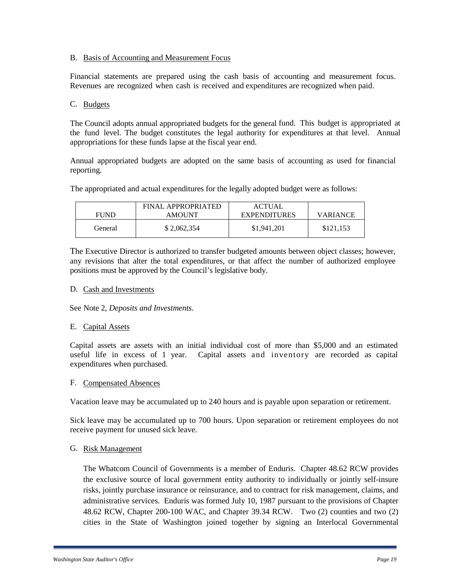#### B. Basis of Accounting and Measurement Focus

Financial statements are prepared using the cash basis of accounting and measurement focus. Revenues are recognized when cash is received and expenditures are recognized when paid.

#### C. Budgets

The Council adopts annual appropriated budgets for the general fund. This budget is appropriated at the fund level. The budget constitutes the legal authority for expenditures at that level. Annual appropriations for these funds lapse at the fiscal year end.

Annual appropriated budgets are adopted on the same basis of accounting as used for financial reporting.

The appropriated and actual expenditures for the legally adopted budget were as follows:

| <b>FUND</b> | <b>FINAL APPROPRIATED</b><br><b>AMOUNT</b> | <b>ACTUAL</b><br><b>EXPENDITURES</b> | VARIANCE  |
|-------------|--------------------------------------------|--------------------------------------|-----------|
| General     | \$2,062,354                                | \$1,941,201                          | \$121,153 |

The Executive Director is authorized to transfer budgeted amounts between object classes; however, any revisions that alter the total expenditures, or that affect the number of authorized employee positions must be approved by the Council's legislative body.

#### D. Cash and Investments

See Note 2, *Deposits and Investments*.

#### E. Capital Assets

Capital assets are assets with an initial individual cost of more than \$5,000 and an estimated useful life in excess of 1 year. Capital assets and inventory are recorded as capital expenditures when purchased.

#### F. Compensated Absences

Vacation leave may be accumulated up to 240 hours and is payable upon separation or retirement.

Sick leave may be accumulated up to 700 hours. Upon separation or retirement employees do not receive payment for unused sick leave.

#### G. Risk Management

The Whatcom Council of Governments is a member of Enduris. Chapter 48.62 RCW provides the exclusive source of local government entity authority to individually or jointly self-insure risks, jointly purchase insurance or reinsurance, and to contract for risk management, claims, and administrative services. Enduris was formed July 10, 1987 pursuant to the provisions of Chapter 48.62 RCW, Chapter 200-100 WAC, and Chapter 39.34 RCW. Two (2) counties and two (2) cities in the State of Washington joined together by signing an Interlocal Governmental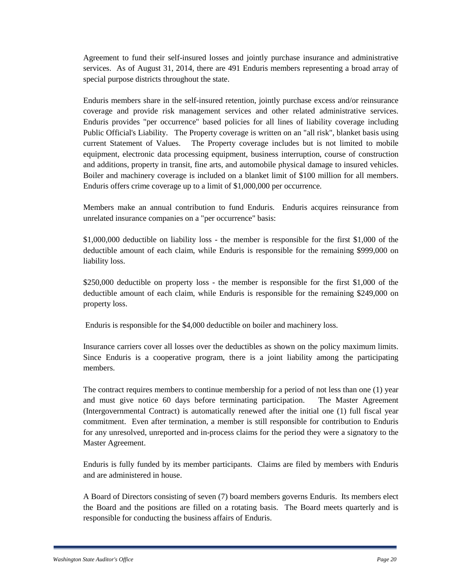Agreement to fund their self-insured losses and jointly purchase insurance and administrative services. As of August 31, 2014, there are 491 Enduris members representing a broad array of special purpose districts throughout the state.

Enduris members share in the self-insured retention, jointly purchase excess and/or reinsurance coverage and provide risk management services and other related administrative services. Enduris provides "per occurrence" based policies for all lines of liability coverage including Public Official's Liability. The Property coverage is written on an "all risk", blanket basis using current Statement of Values. The Property coverage includes but is not limited to mobile equipment, electronic data processing equipment, business interruption, course of construction and additions, property in transit, fine arts, and automobile physical damage to insured vehicles. Boiler and machinery coverage is included on a blanket limit of \$100 million for all members. Enduris offers crime coverage up to a limit of \$1,000,000 per occurrence.

Members make an annual contribution to fund Enduris. Enduris acquires reinsurance from unrelated insurance companies on a "per occurrence" basis:

\$1,000,000 deductible on liability loss - the member is responsible for the first \$1,000 of the deductible amount of each claim, while Enduris is responsible for the remaining \$999,000 on liability loss.

\$250,000 deductible on property loss - the member is responsible for the first \$1,000 of the deductible amount of each claim, while Enduris is responsible for the remaining \$249,000 on property loss.

Enduris is responsible for the \$4,000 deductible on boiler and machinery loss.

Insurance carriers cover all losses over the deductibles as shown on the policy maximum limits. Since Enduris is a cooperative program, there is a joint liability among the participating members.

The contract requires members to continue membership for a period of not less than one (1) year and must give notice 60 days before terminating participation. The Master Agreement (Intergovernmental Contract) is automatically renewed after the initial one (1) full fiscal year commitment. Even after termination, a member is still responsible for contribution to Enduris for any unresolved, unreported and in-process claims for the period they were a signatory to the Master Agreement.

Enduris is fully funded by its member participants. Claims are filed by members with Enduris and are administered in house.

A Board of Directors consisting of seven (7) board members governs Enduris. Its members elect the Board and the positions are filled on a rotating basis. The Board meets quarterly and is responsible for conducting the business affairs of Enduris.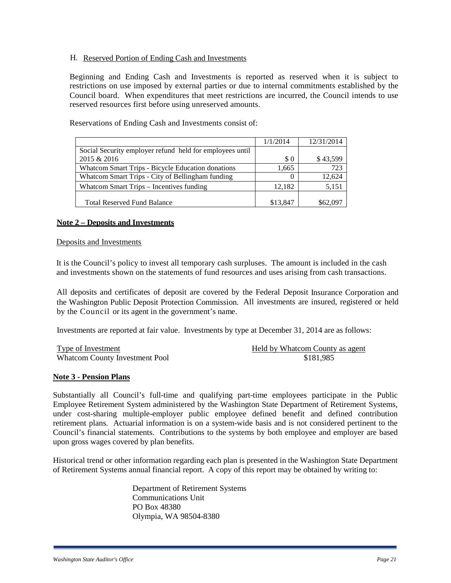#### H. Reserved Portion of Ending Cash and Investments

Beginning and Ending Cash and Investments is reported as reserved when it is subject to restrictions on use imposed by external parties or due to internal commitments established by the Council board. When expenditures that meet restrictions are incurred, the Council intends to use reserved resources first before using unreserved amounts.

|                                                          | 1/1/2014 | 12/31/2014 |
|----------------------------------------------------------|----------|------------|
| Social Security employer refund held for employees until |          |            |
| 2015 & 2016                                              | \$0      | \$43,599   |
| Whatcom Smart Trips - Bicycle Education donations        | 1,665    | 723        |
| Whatcom Smart Trips - City of Bellingham funding         |          | 12,624     |
| Whatcom Smart Trips – Incentives funding                 | 12,182   | 5,151      |
| <b>Total Reserved Fund Balance</b>                       | \$13.847 | \$62.09    |
|                                                          |          |            |

Reservations of Ending Cash and Investments consist of:

#### **Note 2 – Deposits and Investments**

#### Deposits and Investments

It is the Council's policy to invest all temporary cash surpluses. The amount is included in the cash and investments shown on the statements of fund resources and uses arising from cash transactions.

All deposits and certificates of deposit are covered by the Federal Deposit Insurance Corporation and the Washington Public Deposit Protection Commission. All investments are insured, registered or held by the Council or its agent in the government's name.

Investments are reported at fair value. Investments by type at December 31, 2014 are as follows:

| <b>Type of Investment</b>             | Held by Whatcom County as agent |  |
|---------------------------------------|---------------------------------|--|
| <b>Whatcom County Investment Pool</b> | \$181,985                       |  |

#### **Note 3 - Pension Plans**

Substantially all Council's full-time and qualifying part-time employees participate in the Public Employee Retirement System administered by the Washington State Department of Retirement Systems, under cost-sharing multiple-employer public employee defined benefit and defined contribution retirement plans. Actuarial information is on a system-wide basis and is not considered pertinent to the Council's financial statements. Contributions to the systems by both employee and employer are based upon gross wages covered by plan benefits.

Historical trend or other information regarding each plan is presented in the Washington State Department of Retirement Systems annual financial report. A copy of this report may be obtained by writing to:

*\_\_\_\_\_\_\_\_\_\_\_\_\_\_\_\_\_\_\_\_\_\_\_\_\_\_\_\_\_\_\_\_\_\_\_\_\_\_\_\_\_\_\_\_\_\_\_\_\_\_\_\_\_\_\_\_\_\_\_\_\_\_\_\_\_\_\_\_\_\_\_\_\_\_\_\_\_\_\_\_\_\_\_\_\_\_\_\_\_\_\_\_\_\_\_\_\_\_\_\_\_\_\_\_\_\_\_\_\_\_\_\_\_\_\_\_* 

Department of Retirement Systems Communications Unit PO Box 48380 Olympia, WA 98504-8380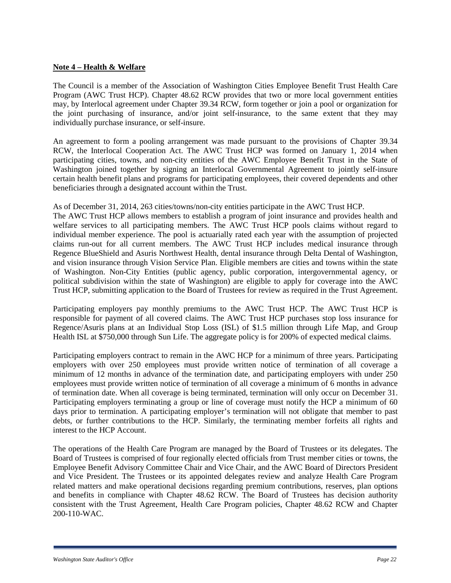#### **Note 4 – Health & Welfare**

The Council is a member of the Association of Washington Cities Employee Benefit Trust Health Care Program (AWC Trust HCP). Chapter 48.62 RCW provides that two or more local government entities may, by Interlocal agreement under Chapter 39.34 RCW, form together or join a pool or organization for the joint purchasing of insurance, and/or joint self-insurance, to the same extent that they may individually purchase insurance, or self-insure.

An agreement to form a pooling arrangement was made pursuant to the provisions of Chapter 39.34 RCW, the Interlocal Cooperation Act. The AWC Trust HCP was formed on January 1, 2014 when participating cities, towns, and non-city entities of the AWC Employee Benefit Trust in the State of Washington joined together by signing an Interlocal Governmental Agreement to jointly self-insure certain health benefit plans and programs for participating employees, their covered dependents and other beneficiaries through a designated account within the Trust.

As of December 31, 2014, 263 cities/towns/non-city entities participate in the AWC Trust HCP.

The AWC Trust HCP allows members to establish a program of joint insurance and provides health and welfare services to all participating members. The AWC Trust HCP pools claims without regard to individual member experience. The pool is actuarially rated each year with the assumption of projected claims run-out for all current members. The AWC Trust HCP includes medical insurance through Regence BlueShield and Asuris Northwest Health, dental insurance through Delta Dental of Washington, and vision insurance through Vision Service Plan. Eligible members are cities and towns within the state of Washington. Non-City Entities (public agency, public corporation, intergovernmental agency, or political subdivision within the state of Washington) are eligible to apply for coverage into the AWC Trust HCP, submitting application to the Board of Trustees for review as required in the Trust Agreement.

Participating employers pay monthly premiums to the AWC Trust HCP. The AWC Trust HCP is responsible for payment of all covered claims. The AWC Trust HCP purchases stop loss insurance for Regence/Asuris plans at an Individual Stop Loss (ISL) of \$1.5 million through Life Map, and Group Health ISL at \$750,000 through Sun Life. The aggregate policy is for 200% of expected medical claims.

Participating employers contract to remain in the AWC HCP for a minimum of three years. Participating employers with over 250 employees must provide written notice of termination of all coverage a minimum of 12 months in advance of the termination date, and participating employers with under 250 employees must provide written notice of termination of all coverage a minimum of 6 months in advance of termination date. When all coverage is being terminated, termination will only occur on December 31. Participating employers terminating a group or line of coverage must notify the HCP a minimum of 60 days prior to termination. A participating employer's termination will not obligate that member to past debts, or further contributions to the HCP. Similarly, the terminating member forfeits all rights and interest to the HCP Account.

The operations of the Health Care Program are managed by the Board of Trustees or its delegates. The Board of Trustees is comprised of four regionally elected officials from Trust member cities or towns, the Employee Benefit Advisory Committee Chair and Vice Chair, and the AWC Board of Directors President and Vice President. The Trustees or its appointed delegates review and analyze Health Care Program related matters and make operational decisions regarding premium contributions, reserves, plan options and benefits in compliance with Chapter 48.62 RCW. The Board of Trustees has decision authority consistent with the Trust Agreement, Health Care Program policies, Chapter 48.62 RCW and Chapter 200-110-WAC.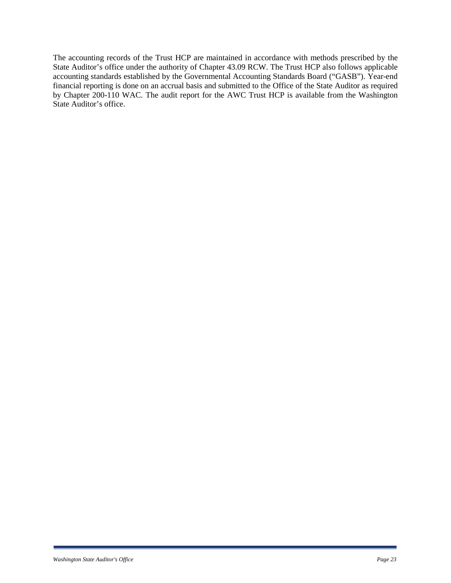The accounting records of the Trust HCP are maintained in accordance with methods prescribed by the State Auditor's office under the authority of Chapter 43.09 RCW. The Trust HCP also follows applicable accounting standards established by the Governmental Accounting Standards Board ("GASB"). Year-end financial reporting is done on an accrual basis and submitted to the Office of the State Auditor as required by Chapter 200-110 WAC. The audit report for the AWC Trust HCP is available from the Washington State Auditor's office.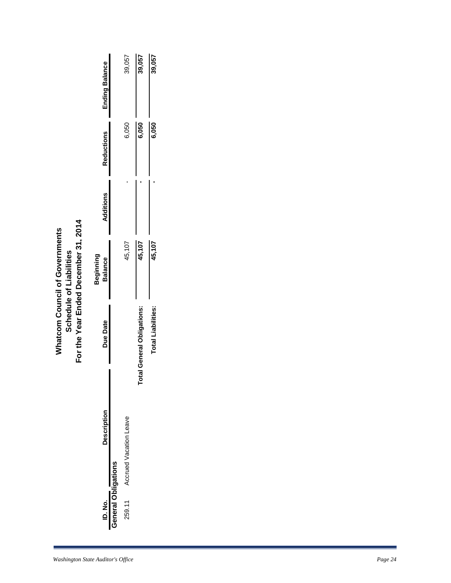4

|                            |                        |                           | Beginning      |           |                   |                |
|----------------------------|------------------------|---------------------------|----------------|-----------|-------------------|----------------|
| ID. No.                    | <b>Description</b>     | Due Date                  | <b>Balance</b> | Additions | <b>Reductions</b> | Ending Balance |
| <b>General Obligations</b> |                        |                           |                |           |                   |                |
| 259.11                     | Accrued Vacation Leave |                           | 45,107         |           | 6,050             | 39,057         |
|                            |                        | otal General Obligations: | 45,107         |           | 6,050             | 39,057         |
|                            |                        | <b>Total Liabilities:</b> | 45,107         |           | 6,050             | 39,057         |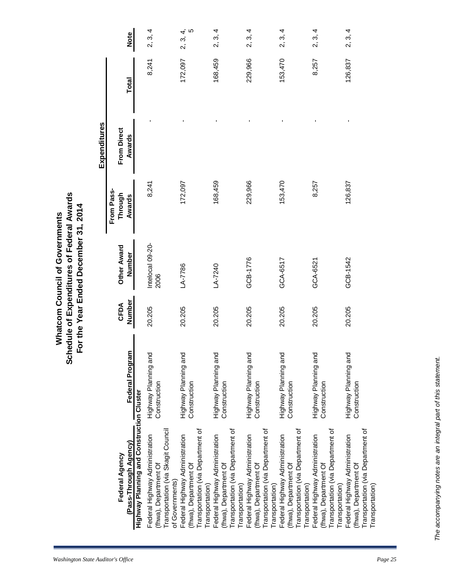|                                                                                                                        |                                      |               |                          |            | Expenditures       |              |                              |
|------------------------------------------------------------------------------------------------------------------------|--------------------------------------|---------------|--------------------------|------------|--------------------|--------------|------------------------------|
|                                                                                                                        |                                      |               |                          | From Pass- |                    |              |                              |
| Federal Agency                                                                                                         |                                      | CFDA          | Other Award              | Through    | <b>From Direct</b> |              |                              |
| <b>Highway Planning and Construction Cluster</b><br>(Pass-Through Agency)                                              | Federal Program                      | <b>Number</b> | Number                   | Awards     | Awards             | <b>Total</b> | Note                         |
| Transportation (via Skagit Council<br>Federal Highway Administration<br>(fhwa), Department Of<br>of Governments)       | Highway Planning and<br>Construction | 20.205        | Intelocal 09-20-<br>2006 | 8,241      |                    | 8,241        | 2, 3, 4                      |
| Transportation (via Department of<br>Federal Highway Administration<br>(fhwa), Department Of<br>Transportation)        | Highway Planning and<br>Construction | 20.205        | LA-7786                  | 172,097    |                    | 172,097      | $\overline{4}$<br>Ю<br>2, 3, |
| Transportation (via Department of<br>Federal Highway Administration<br>(fhwa), Department Of<br>Transportation)        | Highway Planning and<br>Construction | 20.205        | LA-7240                  | 168,459    |                    | 168,459      | 2, 3, 4                      |
| <b>Transportation (via Department of</b><br>Federal Highway Administration<br>(fhwa), Department Of<br>Transportation) | Highway Planning and<br>Construction | 20.205        | GCB-1776                 | 229,966    |                    | 229,966      | 2, 3, 4                      |
| Transportation (via Department of<br>Federal Highway Administration<br>(fhwa), Department Of<br>Transportation)        | Highway Planning and<br>Construction | 20.205        | GCA-6517                 | 153,470    |                    | 153,470      | 2, 3, 4                      |
| Transportation (via Department of<br>Federal Highway Administration<br>(fhwa), Department Of<br>Transportation)        | Highway Planning and<br>Construction | 20.205        | GCA-6521                 | 8,257      |                    | 8,257        | 2, 3, 4                      |
| Transportation (via Department of<br>Federal Highway Administration<br>(fhwa), Department Of<br>Transportation)        | Highway Planning and<br>Construction | 20.205        | GCB-1542                 | 126,837    |                    | 126,837      | 2, 3, 4                      |

*\_\_\_\_\_\_\_\_\_\_\_\_\_\_\_\_\_\_\_\_\_\_\_\_\_\_\_\_\_\_\_\_\_\_\_\_\_\_\_\_\_\_\_\_\_\_\_\_\_\_\_\_\_\_\_\_\_\_\_\_\_\_\_\_\_\_\_\_\_\_\_\_\_\_\_\_\_\_\_\_\_\_\_\_\_\_\_\_\_\_\_\_\_\_\_\_\_\_\_\_\_\_\_\_\_\_\_\_\_\_\_\_\_\_\_\_* 

Whatcom Council of Governments<br>Schedule of Expenditures of Federal Awards **Schedule of Expenditures of Federal Awards** For the Year Ended December 31, 2014 **For the Year Ended December 31, 2014 Whatcom Council of Governments**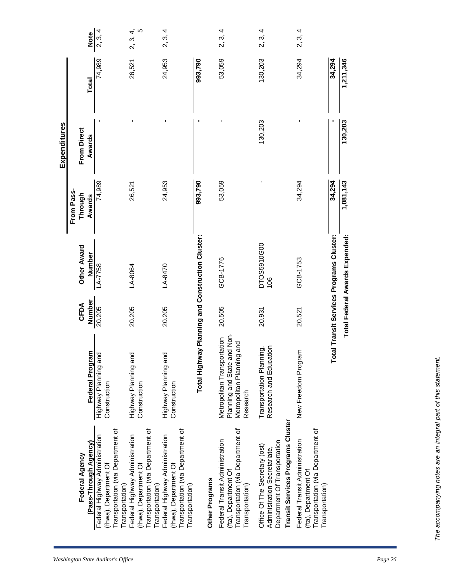|                                                                                                                                    |                                                                                                     |        |                                          |           | Expenditures       |           |             |
|------------------------------------------------------------------------------------------------------------------------------------|-----------------------------------------------------------------------------------------------------|--------|------------------------------------------|-----------|--------------------|-----------|-------------|
|                                                                                                                                    |                                                                                                     |        |                                          | From Pass |                    |           |             |
| Federal Agency                                                                                                                     |                                                                                                     | CFDA   | Other Award                              | Through   | <b>From Direct</b> |           |             |
| (Pass-Through Agency)                                                                                                              | ξ<br>Federal Progra                                                                                 | Number | Number                                   | Awards    | Awards             | Total     | <b>Note</b> |
| Transportation (via Department of<br>Federal Highway Administration<br>(fhwa), Department Of<br>Transportation)                    | Highway Planning and<br>Construction                                                                | 20.205 | LA-7758                                  | 74,989    |                    | 74,989    | 2, 3, 4     |
| Transportation (via Department of<br>Federal Highway Administration<br>(fhwa), Department Of<br>Transportation)                    | ΣÓ<br>Highway Planning ar<br>Construction                                                           | 20.205 | LA-8064                                  | 26,521    |                    | 26,521    | 2, 3, 4, 5  |
| Transportation (via Department of<br>Federal Highway Administration<br>(fhwa), Department Of<br>Transportation)                    | p<br>Highway Planning ar<br>Construction                                                            | 20.205 | LA-8470                                  | 24,953    |                    | 24,953    | 2, 3, 4     |
|                                                                                                                                    | Total Highway Planning and Construction Cluster:                                                    |        |                                          | 993,790   |                    | 993,790   |             |
| Other Programs                                                                                                                     |                                                                                                     |        |                                          |           |                    |           |             |
| Transportation (via Department of<br>Federal Transit Administration<br>(fta), Department Of<br>Transportation)                     | Planning and State and Non-<br>Metropolitan Transportation<br>Metropolitan Planning and<br>Research | 20.505 | GCB-1776                                 | 53,059    |                    | 53,059    | 2, 3, 4     |
| Transit Services Programs Cluster<br>Department Of Transportation<br>Office Of The Secretary (ost)<br>Administration Secretariate, | Transportation Planning,<br>Research and Education                                                  | 20.931 | DTOS5910G00<br>106                       |           | 130,203            | 130,203   | 2, 3, 4     |
| Transportation (via Department of<br>Federal Transit Administration<br>(fta), Department Of<br>Transportation)                     | New Freedom Program                                                                                 | 20.521 | GCB-1753                                 | 34,294    |                    | 34,294    | 2, 3, 4     |
|                                                                                                                                    |                                                                                                     |        | Total Transit Services Programs Cluster: | 34,294    |                    | 34,294    |             |
|                                                                                                                                    |                                                                                                     |        | Total Federal Awards Expended:           | 1,081,143 | 130,203            | 1,211,346 |             |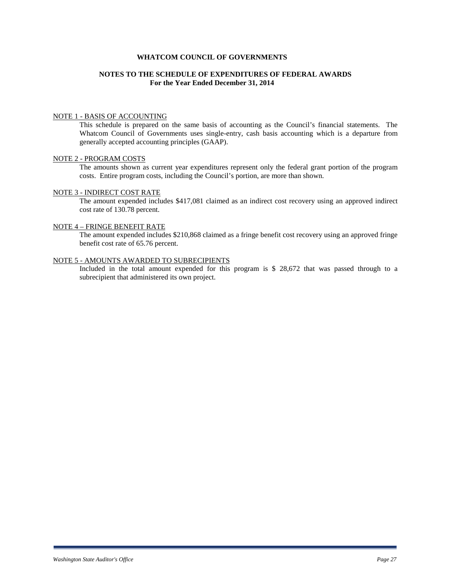#### **WHATCOM COUNCIL OF GOVERNMENTS**

#### **NOTES TO THE SCHEDULE OF EXPENDITURES OF FEDERAL AWARDS For the Year Ended December 31, 2014**

#### NOTE 1 - BASIS OF ACCOUNTING

This schedule is prepared on the same basis of accounting as the Council's financial statements. The Whatcom Council of Governments uses single-entry, cash basis accounting which is a departure from generally accepted accounting principles (GAAP).

#### NOTE 2 - PROGRAM COSTS

The amounts shown as current year expenditures represent only the federal grant portion of the program costs. Entire program costs, including the Council's portion, are more than shown.

#### NOTE 3 - INDIRECT COST RATE

The amount expended includes \$417,081 claimed as an indirect cost recovery using an approved indirect cost rate of 130.78 percent.

#### NOTE 4 – FRINGE BENEFIT RATE

The amount expended includes \$210,868 claimed as a fringe benefit cost recovery using an approved fringe benefit cost rate of 65.76 percent.

#### NOTE 5 - AMOUNTS AWARDED TO SUBRECIPIENTS

Included in the total amount expended for this program is \$ 28,672 that was passed through to a subrecipient that administered its own project.